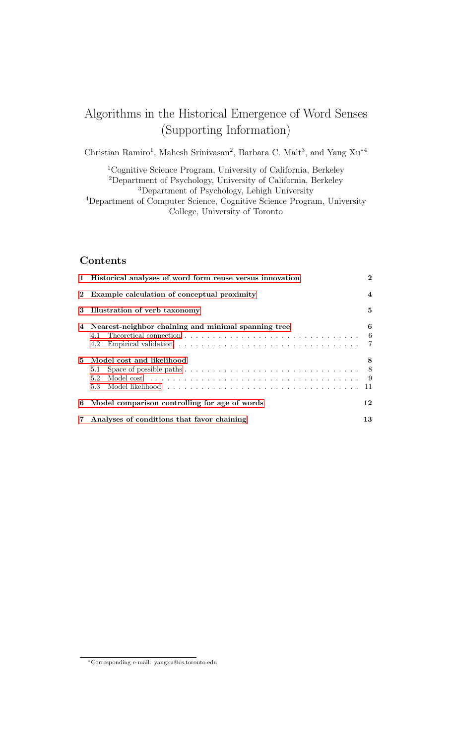# Algorithms in the Historical Emergence of Word Senses (Supporting Information)

Christian Ramiro<sup>1</sup>, Mahesh Srinivasan<sup>2</sup>, Barbara C. Malt<sup>3</sup>, and Yang Xu<sup>\*4</sup>

Cognitive Science Program, University of California, Berkeley Department of Psychology, University of California, Berkeley Department of Psychology, Lehigh University Department of Computer Science, Cognitive Science Program, University

College, University of Toronto

# Contents

|    | 1 Historical analyses of word form reuse versus innovation                                                                                   | $\mathbf{2}$           |
|----|----------------------------------------------------------------------------------------------------------------------------------------------|------------------------|
|    | 2 Example calculation of conceptual proximity                                                                                                | $\boldsymbol{\Lambda}$ |
|    | 3 Illustration of verb taxonomy                                                                                                              | 5                      |
|    | 4 Nearest-neighbor chaining and minimal spanning tree<br>4.2                                                                                 | 6<br>- 6               |
| 5. | Model cost and likelihood<br>Space of possible paths $\dots \dots \dots \dots \dots \dots \dots \dots \dots \dots \dots \dots$<br>5.1<br>5.2 | 8<br>- 9               |
| 6  | Model comparison controlling for age of words                                                                                                | 12                     |
|    | 7 Analyses of conditions that favor chaining                                                                                                 | 13                     |

<sup>∗</sup>Corresponding e-mail: yangxu@cs.toronto.edu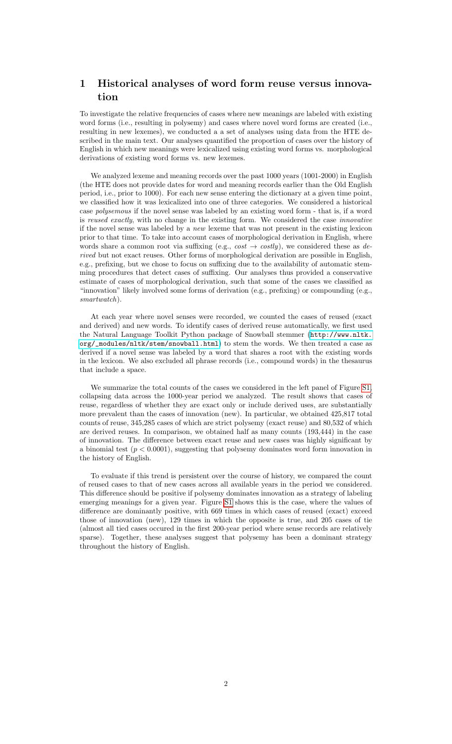# <span id="page-1-0"></span>1 Historical analyses of word form reuse versus innovation

To investigate the relative frequencies of cases where new meanings are labeled with existing word forms (i.e., resulting in polysemy) and cases where novel word forms are created (i.e., resulting in new lexemes), we conducted a a set of analyses using data from the HTE described in the main text. Our analyses quantified the proportion of cases over the history of English in which new meanings were lexicalized using existing word forms vs. morphological derivations of existing word forms vs. new lexemes.

We analyzed lexeme and meaning records over the past 1000 years (1001-2000) in English (the HTE does not provide dates for word and meaning records earlier than the Old English period, i.e., prior to 1000). For each new sense entering the dictionary at a given time point, we classified how it was lexicalized into one of three categories. We considered a historical case polysemous if the novel sense was labeled by an existing word form - that is, if a word is reused exactly, with no change in the existing form. We considered the case *innovative* if the novel sense was labeled by a new lexeme that was not present in the existing lexicon prior to that time. To take into account cases of morphological derivation in English, where words share a common root via suffixing (e.g.,  $cost \rightarrow costly$ ), we considered these as derived but not exact reuses. Other forms of morphological derivation are possible in English, e.g., prefixing, but we chose to focus on suffixing due to the availability of automatic stemming procedures that detect cases of suffixing. Our analyses thus provided a conservative estimate of cases of morphological derivation, such that some of the cases we classified as "innovation" likely involved some forms of derivation (e.g., prefixing) or compounding (e.g., smartwatch).

At each year where novel senses were recorded, we counted the cases of reused (exact and derived) and new words. To identify cases of derived reuse automatically, we first used the Natural Language Toolkit Python package of Snowball stemmer ([http://www.nltk.](http://www.nltk.org/_modules/nltk/stem/snowball.html) [org/\\_modules/nltk/stem/snowball.html](http://www.nltk.org/_modules/nltk/stem/snowball.html)) to stem the words. We then treated a case as derived if a novel sense was labeled by a word that shares a root with the existing words in the lexicon. We also excluded all phrase records (i.e., compound words) in the thesaurus that include a space.

We summarize the total counts of the cases we considered in the left panel of Figure [S1,](#page-2-0) collapsing data across the 1000-year period we analyzed. The result shows that cases of reuse, regardless of whether they are exact only or include derived uses, are substantially more prevalent than the cases of innovation (new). In particular, we obtained 425,817 total counts of reuse, 345,285 cases of which are strict polysemy (exact reuse) and 80,532 of which are derived reuses. In comparison, we obtained half as many counts (193,444) in the case of innovation. The difference between exact reuse and new cases was highly significant by a binomial test  $(p < 0.0001)$ , suggesting that polysemy dominates word form innovation in the history of English.

To evaluate if this trend is persistent over the course of history, we compared the count of reused cases to that of new cases across all available years in the period we considered. This difference should be positive if polysemy dominates innovation as a strategy of labeling emerging meanings for a given year. Figure [S1](#page-2-0) shows this is the case, where the values of difference are dominantly positive, with 669 times in which cases of reused (exact) exceed those of innovation (new), 129 times in which the opposite is true, and 205 cases of tie (almost all tied cases occured in the first 200-year period where sense records are relatively sparse). Together, these analyses suggest that polysemy has been a dominant strategy throughout the history of English.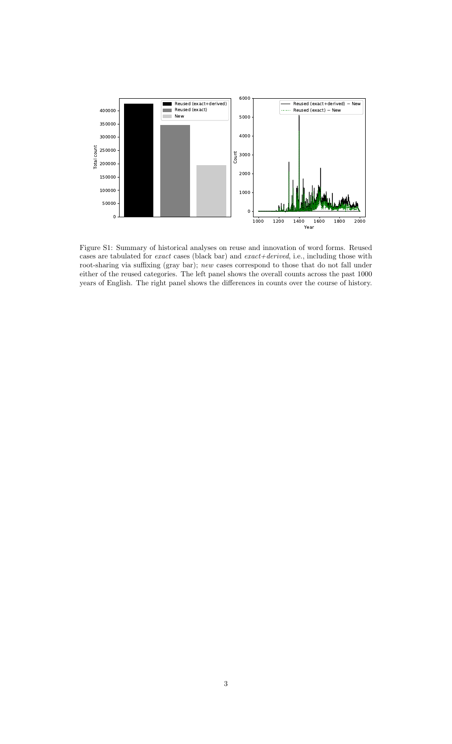

<span id="page-2-0"></span>Figure S1: Summary of historical analyses on reuse and innovation of word forms. Reused cases are tabulated for *exact* cases (black bar) and  $exact+derived$ , i.e., including those with root-sharing via suffixing (gray bar); new cases correspond to those that do not fall under either of the reused categories. The left panel shows the overall counts across the past 1000 years of English. The right panel shows the differences in counts over the course of history.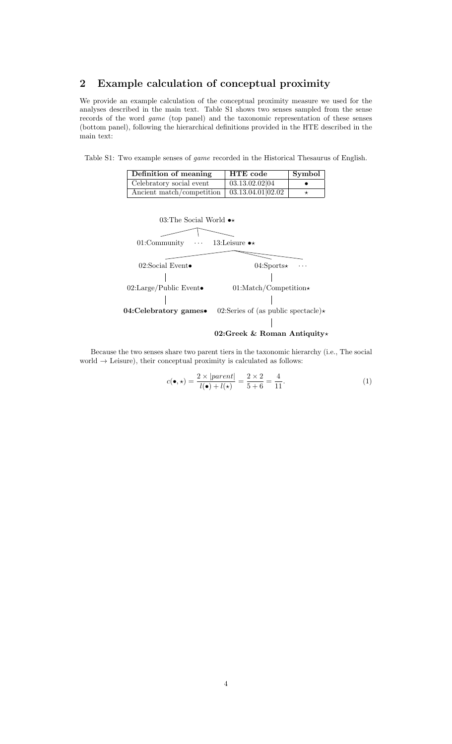# <span id="page-3-0"></span>2 Example calculation of conceptual proximity

We provide an example calculation of the conceptual proximity measure we used for the analyses described in the main text. Table S1 shows two senses sampled from the sense records of the word game (top panel) and the taxonomic representation of these senses (bottom panel), following the hierarchical definitions provided in the HTE described in the main text:

Table S1: Two example senses of game recorded in the Historical Thesaurus of English.

| Definition of meaning                                   | <b>HTE</b> code | Symbol |
|---------------------------------------------------------|-----------------|--------|
| Celebratory social event                                | 03.13.02.02 04  |        |
| Ancient match/competition $\sqrt{(33.13.04.01)(02.02)}$ |                 |        |



#### 02:Greek & Roman Antiquity\*

Because the two senses share two parent tiers in the taxonomic hierarchy (i.e., The social world  $\rightarrow$  Leisure), their conceptual proximity is calculated as follows:

$$
c(\bullet, \star) = \frac{2 \times |parent|}{l(\bullet) + l(\star)} = \frac{2 \times 2}{5 + 6} = \frac{4}{11}.
$$
 (1)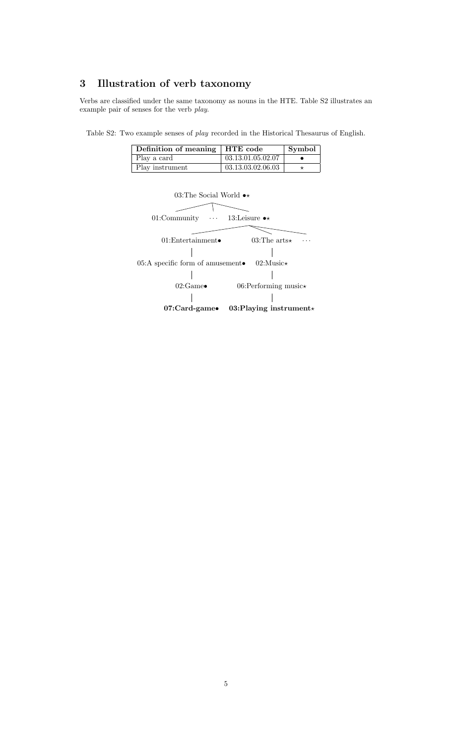# <span id="page-4-0"></span>3 Illustration of verb taxonomy

Verbs are classified under the same taxonomy as nouns in the HTE. Table S2 illustrates an example pair of senses for the verb play.

Table S2: Two example senses of play recorded in the Historical Thesaurus of English.

| Definition of meaning   HTE code |                   | Symbol |
|----------------------------------|-------------------|--------|
| Play a card                      | 03.13.01.05.02.07 |        |
| Play instrument                  | 03.13.03.02.06.03 |        |

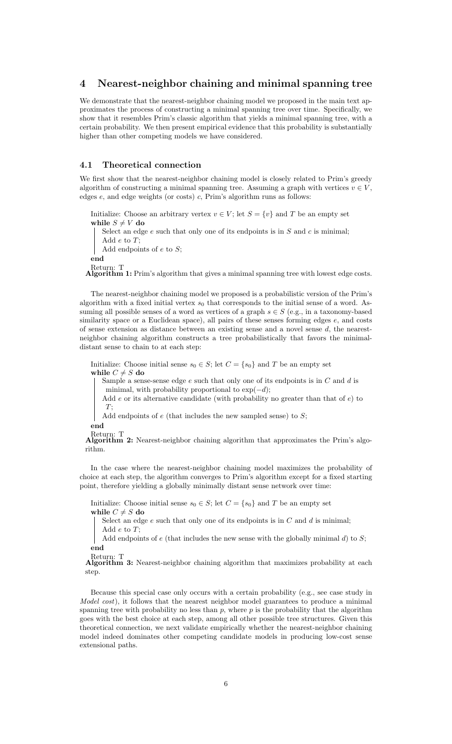### <span id="page-5-0"></span>4 Nearest-neighbor chaining and minimal spanning tree

We demonstrate that the nearest-neighbor chaining model we proposed in the main text approximates the process of constructing a minimal spanning tree over time. Specifically, we show that it resembles Prim's classic algorithm that yields a minimal spanning tree, with a certain probability. We then present empirical evidence that this probability is substantially higher than other competing models we have considered.

#### <span id="page-5-1"></span>4.1 Theoretical connection

We first show that the nearest-neighbor chaining model is closely related to Prim's greedy algorithm of constructing a minimal spanning tree. Assuming a graph with vertices  $v \in V$ , edges  $e$ , and edge weights (or costs)  $c$ , Prim's algorithm runs as follows:

Initialize: Choose an arbitrary vertex  $v \in V$ ; let  $S = \{v\}$  and T be an empty set while  $S \neq V$  do

Select an edge  $e$  such that only one of its endpoints is in  $S$  and  $c$  is minimal; Add  $e$  to  $T$ ;

Add endpoints of  $e$  to  $S$ ;

end

Return: T<br>**Algorithm 1:** Prim's algorithm that gives a minimal spanning tree with lowest edge costs.

The nearest-neighbor chaining model we proposed is a probabilistic version of the Prim's algorithm with a fixed initial vertex  $s_0$  that corresponds to the initial sense of a word. Assuming all possible senses of a word as vertices of a graph  $s \in S$  (e.g., in a taxonomy-based similarity space or a Euclidean space), all pairs of these senses forming edges  $e$ , and costs of sense extension as distance between an existing sense and a novel sense d, the nearestneighbor chaining algorithm constructs a tree probabilistically that favors the minimaldistant sense to chain to at each step:

Initialize: Choose initial sense  $s_0 \in S$ ; let  $C = \{s_0\}$  and T be an empty set while  $C \neq S$  do

Sample a sense-sense edge  $e$  such that only one of its endpoints is in  $C$  and  $d$  is minimal, with probability proportional to  $\exp(-d)$ ;

Add  $e$  or its alternative candidate (with probability no greater than that of  $e$ ) to  $T$ :

Add endpoints of  $e$  (that includes the new sampled sense) to  $S$ ;

end

Return: T Algorithm 2: Nearest-neighbor chaining algorithm that approximates the Prim's algorithm.

In the case where the nearest-neighbor chaining model maximizes the probability of choice at each step, the algorithm converges to Prim's algorithm except for a fixed starting point, therefore yielding a globally minimally distant sense network over time:

Initialize: Choose initial sense  $s_0 \in S$ ; let  $C = \{s_0\}$  and T be an empty set while  $C \neq S$  do

Select an edge  $e$  such that only one of its endpoints is in  $C$  and  $d$  is minimal; Add e to T;

Add endpoints of  $e$  (that includes the new sense with the globally minimal d) to  $S$ ; end

Return: T

Algorithm 3: Nearest-neighbor chaining algorithm that maximizes probability at each step.

Because this special case only occurs with a certain probability (e.g., see case study in Model cost), it follows that the nearest neighbor model guarantees to produce a minimal spanning tree with probability no less than  $p$ , where  $p$  is the probability that the algorithm goes with the best choice at each step, among all other possible tree structures. Given this theoretical connection, we next validate empirically whether the nearest-neighbor chaining model indeed dominates other competing candidate models in producing low-cost sense extensional paths.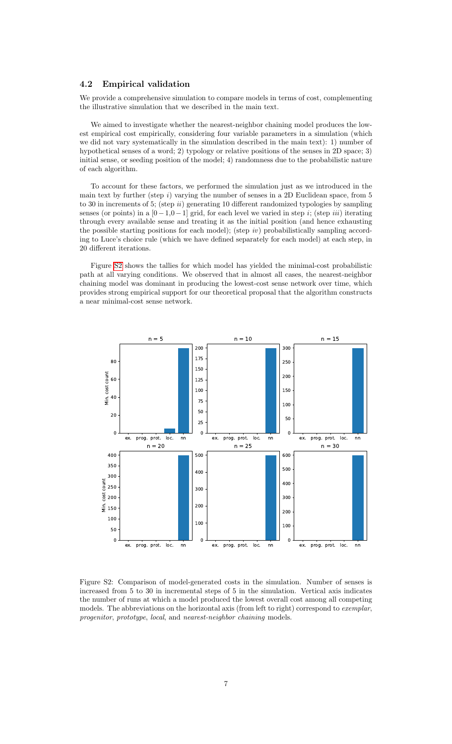#### <span id="page-6-0"></span>4.2 Empirical validation

We provide a comprehensive simulation to compare models in terms of cost, complementing the illustrative simulation that we described in the main text.

We aimed to investigate whether the nearest-neighbor chaining model produces the lowest empirical cost empirically, considering four variable parameters in a simulation (which we did not vary systematically in the simulation described in the main text): 1) number of hypothetical senses of a word; 2) typology or relative positions of the senses in 2D space; 3) initial sense, or seeding position of the model; 4) randomness due to the probabilistic nature of each algorithm.

To account for these factors, we performed the simulation just as we introduced in the main text by further (step  $i$ ) varying the number of senses in a 2D Euclidean space, from 5 to 30 in increments of 5; (step  $ii)$  generating 10 different randomized typologies by sampling senses (or points) in a  $[0-1,0-1]$  grid, for each level we varied in step *i*; (step *iii*) iterating through every available sense and treating it as the initial position (and hence exhausting the possible starting positions for each model); (step iv) probabilistically sampling according to Luce's choice rule (which we have defined separately for each model) at each step, in 20 different iterations.

Figure [S2](#page-6-1) shows the tallies for which model has yielded the minimal-cost probabilistic path at all varying conditions. We observed that in almost all cases, the nearest-neighbor chaining model was dominant in producing the lowest-cost sense network over time, which provides strong empirical support for our theoretical proposal that the algorithm constructs a near minimal-cost sense network.



<span id="page-6-1"></span>Figure S2: Comparison of model-generated costs in the simulation. Number of senses is increased from 5 to 30 in incremental steps of 5 in the simulation. Vertical axis indicates the number of runs at which a model produced the lowest overall cost among all competing models. The abbreviations on the horizontal axis (from left to right) correspond to *exemplar*, progenitor, prototype, local, and nearest-neighbor chaining models.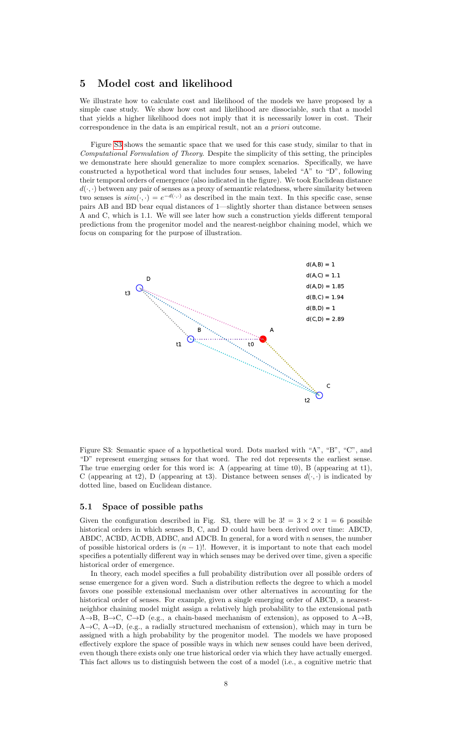## <span id="page-7-0"></span>5 Model cost and likelihood

We illustrate how to calculate cost and likelihood of the models we have proposed by a simple case study. We show how cost and likelihood are dissociable, such that a model that yields a higher likelihood does not imply that it is necessarily lower in cost. Their correspondence in the data is an empirical result, not an a priori outcome.

Figure [S3](#page-7-2) shows the semantic space that we used for this case study, similar to that in Computational Formulation of Theory. Despite the simplicity of this setting, the principles we demonstrate here should generalize to more complex scenarios. Specifically, we have constructed a hypothetical word that includes four senses, labeled "A" to "D", following their temporal orders of emergence (also indicated in the figure). We took Euclidean distance  $d(\cdot, \cdot)$  between any pair of senses as a proxy of semantic relatedness, where similarity between two senses is  $sim(\cdot, \cdot) = e^{-d(\cdot, \cdot)}$  as described in the main text. In this specific case, sense pairs AB and BD bear equal distances of 1—slightly shorter than distance between senses A and C, which is 1.1. We will see later how such a construction yields different temporal predictions from the progenitor model and the nearest-neighbor chaining model, which we focus on comparing for the purpose of illustration.



<span id="page-7-2"></span>Figure S3: Semantic space of a hypothetical word. Dots marked with "A", "B", "C", and "D" represent emerging senses for that word. The red dot represents the earliest sense. The true emerging order for this word is: A (appearing at time t0), B (appearing at t1), C (appearing at t2), D (appearing at t3). Distance between senses  $d(\cdot, \cdot)$  is indicated by dotted line, based on Euclidean distance.

#### <span id="page-7-1"></span>5.1 Space of possible paths

Given the configuration described in Fig. S3, there will be  $3! = 3 \times 2 \times 1 = 6$  possible historical orders in which senses B, C, and D could have been derived over time: ABCD, ABDC, ACBD, ACDB, ADBC, and ADCB. In general, for a word with  $n$  senses, the number of possible historical orders is  $(n - 1)!$ . However, it is important to note that each model specifies a potentially different way in which senses may be derived over time, given a specific historical order of emergence.

In theory, each model specifies a full probability distribution over all possible orders of sense emergence for a given word. Such a distribution reflects the degree to which a model favors one possible extensional mechanism over other alternatives in accounting for the historical order of senses. For example, given a single emerging order of ABCD, a nearestneighbor chaining model might assign a relatively high probability to the extensional path  $A\rightarrow B$ ,  $B\rightarrow C$ ,  $C\rightarrow D$  (e.g., a chain-based mechanism of extension), as opposed to  $A\rightarrow B$ ,  $A\rightarrow C$ ,  $A\rightarrow D$ , (e.g., a radially structured mechanism of extension), which may in turn be assigned with a high probability by the progenitor model. The models we have proposed effectively explore the space of possible ways in which new senses could have been derived, even though there exists only one true historical order via which they have actually emerged. This fact allows us to distinguish between the cost of a model (i.e., a cognitive metric that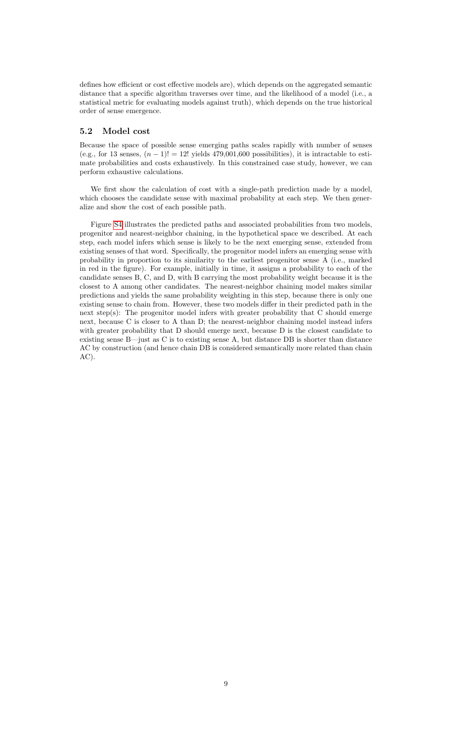defines how efficient or cost effective models are), which depends on the aggregated semantic distance that a specific algorithm traverses over time, and the likelihood of a model (i.e., a statistical metric for evaluating models against truth), which depends on the true historical order of sense emergence.

#### <span id="page-8-0"></span>5.2 Model cost

Because the space of possible sense emerging paths scales rapidly with number of senses (e.g., for 13 senses,  $(n-1)! = 12!$  yields 479,001,600 possibilities), it is intractable to estimate probabilities and costs exhaustively. In this constrained case study, however, we can perform exhaustive calculations.

We first show the calculation of cost with a single-path prediction made by a model, which chooses the candidate sense with maximal probability at each step. We then generalize and show the cost of each possible path.

Figure [S4](#page-9-0) illustrates the predicted paths and associated probabilities from two models, progenitor and nearest-neighbor chaining, in the hypothetical space we described. At each step, each model infers which sense is likely to be the next emerging sense, extended from existing senses of that word. Specifically, the progenitor model infers an emerging sense with probability in proportion to its similarity to the earliest progenitor sense A (i.e., marked in red in the figure). For example, initially in time, it assigns a probability to each of the candidate senses B, C, and D, with B carrying the most probability weight because it is the closest to A among other candidates. The nearest-neighbor chaining model makes similar predictions and yields the same probability weighting in this step, because there is only one existing sense to chain from. However, these two models differ in their predicted path in the next step(s): The progenitor model infers with greater probability that C should emerge next, because C is closer to A than D; the nearest-neighbor chaining model instead infers with greater probability that D should emerge next, because D is the closest candidate to existing sense B—just as C is to existing sense A, but distance DB is shorter than distance AC by construction (and hence chain DB is considered semantically more related than chain AC).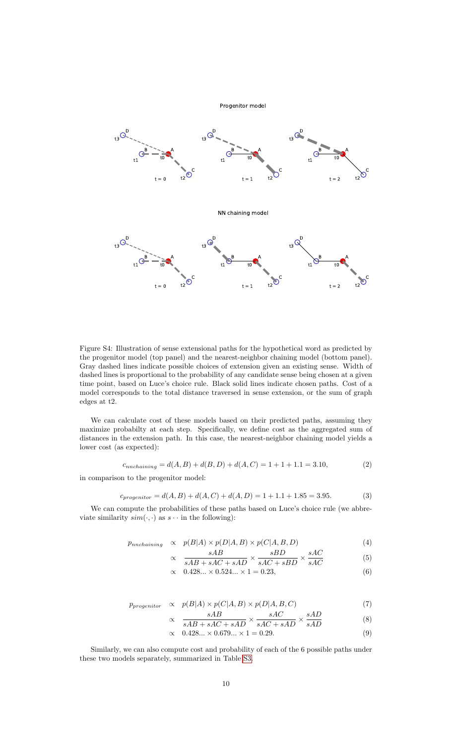

<span id="page-9-0"></span>Figure S4: Illustration of sense extensional paths for the hypothetical word as predicted by the progenitor model (top panel) and the nearest-neighbor chaining model (bottom panel). Gray dashed lines indicate possible choices of extension given an existing sense. Width of dashed lines is proportional to the probability of any candidate sense being chosen at a given time point, based on Luce's choice rule. Black solid lines indicate chosen paths. Cost of a model corresponds to the total distance traversed in sense extension, or the sum of graph edges at t2.

We can calculate cost of these models based on their predicted paths, assuming they maximize probabilty at each step. Specifically, we define cost as the aggregated sum of distances in the extension path. In this case, the nearest-neighbor chaining model yields a lower cost (as expected):

$$
c_{nnchaining} = d(A, B) + d(B, D) + d(A, C) = 1 + 1 + 1.1 = 3.10,
$$
\n(2)

in comparison to the progenitor model:

$$
c_{progenitor} = d(A, B) + d(A, C) + d(A, D) = 1 + 1.1 + 1.85 = 3.95.
$$
\n(3)

We can compute the probabilities of these paths based on Luce's choice rule (we abbreviate similarity  $sim(\cdot, \cdot)$  as  $s \cdot \cdot$  in the following):

$$
p_{unchaining} \propto p(B|A) \times p(D|A,B) \times p(C|A,B,D) \tag{4}
$$

$$
\propto \frac{sAB}{sAB + sAC + sAD} \times \frac{sBD}{sAC + sBD} \times \frac{sAC}{sAC} \tag{5}
$$

$$
sAB + sAC + sAD \quad sAC + sBD \quad sAC
$$
\n
$$
sAB + sAC + sAD \quad sAC \tag{8}
$$

$$
\propto 0.428... \times 0.524... \times 1 = 0.23,\tag{6}
$$

$$
p_{progenitor} \propto p(B|A) \times p(C|A,B) \times p(D|A,B,C)
$$
\n(7)

$$
\propto \frac{sAB}{sAB + sAC + sAD} \times \frac{sAC}{sAC + sAD} \times \frac{sAD}{sAD}
$$
 (8)

$$
\propto 0.428... \times 0.679... \times 1 = 0.29.
$$
 (9)

Similarly, we can also compute cost and probability of each of the 6 possible paths under these two models separately, summarized in Table [S3.](#page-10-1)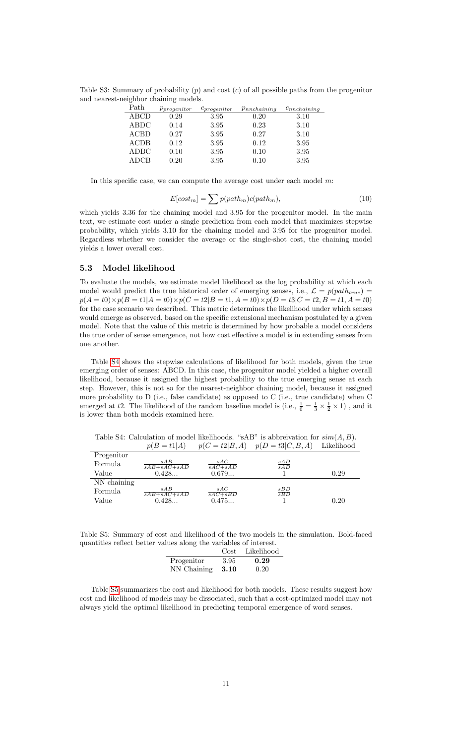Table S3: Summary of probability  $(p)$  and cost  $(c)$  of all possible paths from the progenitor and nearest-neighbor chaining models.

<span id="page-10-1"></span>

| Path        | $p_{progenitor}$ | $c_{progenitor}$ | $p_{nnchaining}$ | $c_{nnchaining}$ |
|-------------|------------------|------------------|------------------|------------------|
| ABCD        | 0.29             | 3.95             | 0.20             | 3.10             |
| ABDC        | 0.14             | 3.95             | 0.23             | 3.10             |
| <b>ACBD</b> | 0.27             | 3.95             | 0.27             | 3.10             |
| ACDB        | 0.12             | 3.95             | 0.12             | 3.95             |
| <b>ADBC</b> | 0.10             | 3.95             | 0.10             | 3.95             |
| <b>ADCB</b> | 0.20             | 3.95             | 0.10             | 3.95             |

In this specific case, we can compute the average cost under each model  $m$ :

$$
E[cost_m] = \sum p(path_m)c(path_m), \qquad (10)
$$

which yields 3.36 for the chaining model and 3.95 for the progenitor model. In the main text, we estimate cost under a single prediction from each model that maximizes stepwise probability, which yields 3.10 for the chaining model and 3.95 for the progenitor model. Regardless whether we consider the average or the single-shot cost, the chaining model yields a lower overall cost.

#### <span id="page-10-0"></span>5.3 Model likelihood

To evaluate the models, we estimate model likelihood as the log probability at which each model would predict the true historical order of emerging senses, i.e.,  $\mathcal{L} = p(path_{true})$  $p(A = t0) \times p(B = t1|A = t0) \times p(C = t2|B = t1, A = t0) \times p(D = t3|C = t2, B = t1, A = t0)$ for the case scenario we described. This metric determines the likelihood under which senses would emerge as observed, based on the specific extensional mechanism postulated by a given model. Note that the value of this metric is determined by how probable a model considers the true order of sense emergence, not how cost effective a model is in extending senses from one another.

Table [S4](#page-10-2) shows the stepwise calculations of likelihood for both models, given the true emerging order of senses: ABCD. In this case, the progenitor model yielded a higher overall likelihood, because it assigned the highest probability to the true emerging sense at each step. However, this is not so for the nearest-neighbor chaining model, because it assigned more probability to D (i.e., false candidate) as opposed to C (i.e., true candidate) when C emerged at t2. The likelihood of the random baseline model is (i.e.,  $\frac{1}{6} = \frac{1}{3} \times \frac{1}{2} \times 1$ ), and it is lower than both models examined here.

<span id="page-10-2"></span>Table S4: Calculation of model likelihoods. "sAB" is abbreivation for  $sim(A, B)$ .  $p(B = t1|A)$   $p(C = t2|B, A)$   $p(D = t3|C, B, A)$  Likelihood

|             | $\sim$ $\sim$<br>$\sim$ $  -$   |                    | $\sim$ $\sim$ $\sim$ $\sim$ $\sim$ $\sim$ $\sim$ | ------------ |
|-------------|---------------------------------|--------------------|--------------------------------------------------|--------------|
| Progenitor  |                                 |                    |                                                  |              |
| Formula     | sAB<br>$\overline{sAB+sAC+sAD}$ | sAC<br>$sAC + sAD$ | $\frac{sAD}{sAD}$                                |              |
| Value       | 0.428                           | 0.679              |                                                  | 0.29         |
| NN chaining |                                 |                    |                                                  |              |
| Formula     | sAB<br>$sAB + sAC + sAD$        | sAC<br>$sAC + sBD$ | $\frac{sBD}{sBD}$                                |              |
| Value       | 0.428                           | 0.475              |                                                  | 0.20         |

<span id="page-10-3"></span>Table S5: Summary of cost and likelihood of the two models in the simulation. Bold-faced quantities reflect better values along the variables of interest.

|                      |      | Cost Likelihood |
|----------------------|------|-----------------|
| Progenitor           | 3.95 | 0.29            |
| $NN$ Chaining $3.10$ |      | 0.20            |

Table [S5](#page-10-3) summarizes the cost and likelihood for both models. These results suggest how cost and likelihood of models may be dissociated, such that a cost-optimized model may not always yield the optimal likelihood in predicting temporal emergence of word senses.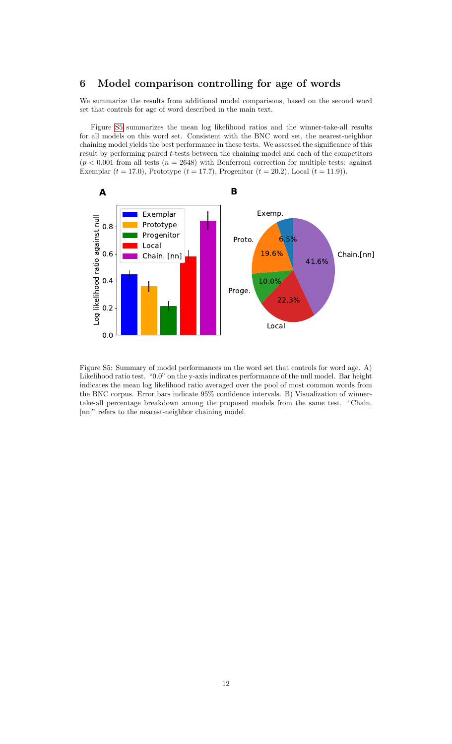## <span id="page-11-0"></span>6 Model comparison controlling for age of words

We summarize the results from additional model comparisons, based on the second word set that controls for age of word described in the main text.

Figure [S5](#page-11-1) summarizes the mean log likelihood ratios and the winner-take-all results for all models on this word set. Consistent with the BNC word set, the nearest-neighbor chaining model yields the best performance in these tests. We assessed the significance of this result by performing paired t-tests between the chaining model and each of the competitors  $(p < 0.001$  from all tests  $(n = 2648)$  with Bonferroni correction for multiple tests: against Exemplar  $(t = 17.0)$ , Prototype  $(t = 17.7)$ , Progenitor  $(t = 20.2)$ , Local  $(t = 11.9)$ ).



<span id="page-11-1"></span>Figure S5: Summary of model performances on the word set that controls for word age. A) Likelihood ratio test. "0.0" on the y-axis indicates performance of the null model. Bar height indicates the mean log likelihood ratio averaged over the pool of most common words from the BNC corpus. Error bars indicate 95% confidence intervals. B) Visualization of winnertake-all percentage breakdown among the proposed models from the same test. "Chain. [nn]" refers to the nearest-neighbor chaining model.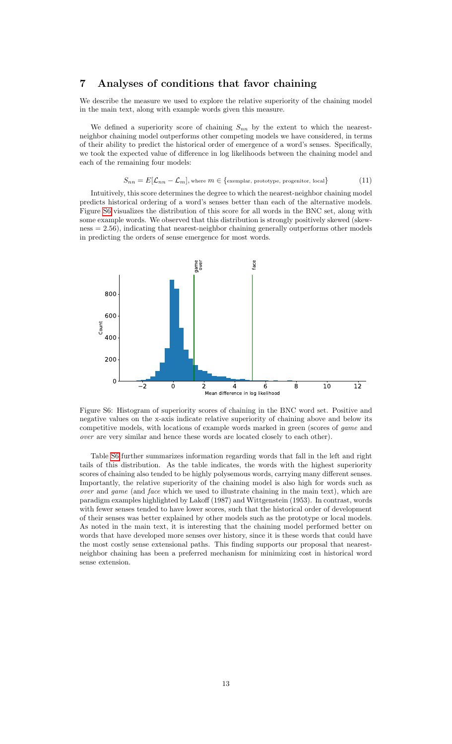# <span id="page-12-0"></span>7 Analyses of conditions that favor chaining

We describe the measure we used to explore the relative superiority of the chaining model in the main text, along with example words given this measure.

We defined a superiority score of chaining  $S_{nn}$  by the extent to which the nearestneighbor chaining model outperforms other competing models we have considered, in terms of their ability to predict the historical order of emergence of a word's senses. Specifically, we took the expected value of difference in log likelihoods between the chaining model and each of the remaining four models:

$$
S_{nn} = E[\mathcal{L}_{nn} - \mathcal{L}_m],
$$
 where  $m \in \{\text{exemplar, prototype, progenitor, local}\}\$  (11)

Intuitively, this score determines the degree to which the nearest-neighbor chaining model predicts historical ordering of a word's senses better than each of the alternative models. Figure [S6](#page-12-1) visualizes the distribution of this score for all words in the BNC set, along with some example words. We observed that this distribution is strongly positively skewed (skewness = 2.56), indicating that nearest-neighbor chaining generally outperforms other models in predicting the orders of sense emergence for most words.



<span id="page-12-1"></span>Figure S6: Histogram of superiority scores of chaining in the BNC word set. Positive and negative values on the x-axis indicate relative superiority of chaining above and below its competitive models, with locations of example words marked in green (scores of *game* and over are very similar and hence these words are located closely to each other).

Table [S6](#page-13-0) further summarizes information regarding words that fall in the left and right tails of this distribution. As the table indicates, the words with the highest superiority scores of chaining also tended to be highly polysemous words, carrying many different senses. Importantly, the relative superiority of the chaining model is also high for words such as over and game (and face which we used to illustrate chaining in the main text), which are paradigm examples highlighted by Lakoff (1987) and Wittgenstein (1953). In contrast, words with fewer senses tended to have lower scores, such that the historical order of development of their senses was better explained by other models such as the prototype or local models. As noted in the main text, it is interesting that the chaining model performed better on words that have developed more senses over history, since it is these words that could have the most costly sense extensional paths. This finding supports our proposal that nearestneighbor chaining has been a preferred mechanism for minimizing cost in historical word sense extension.